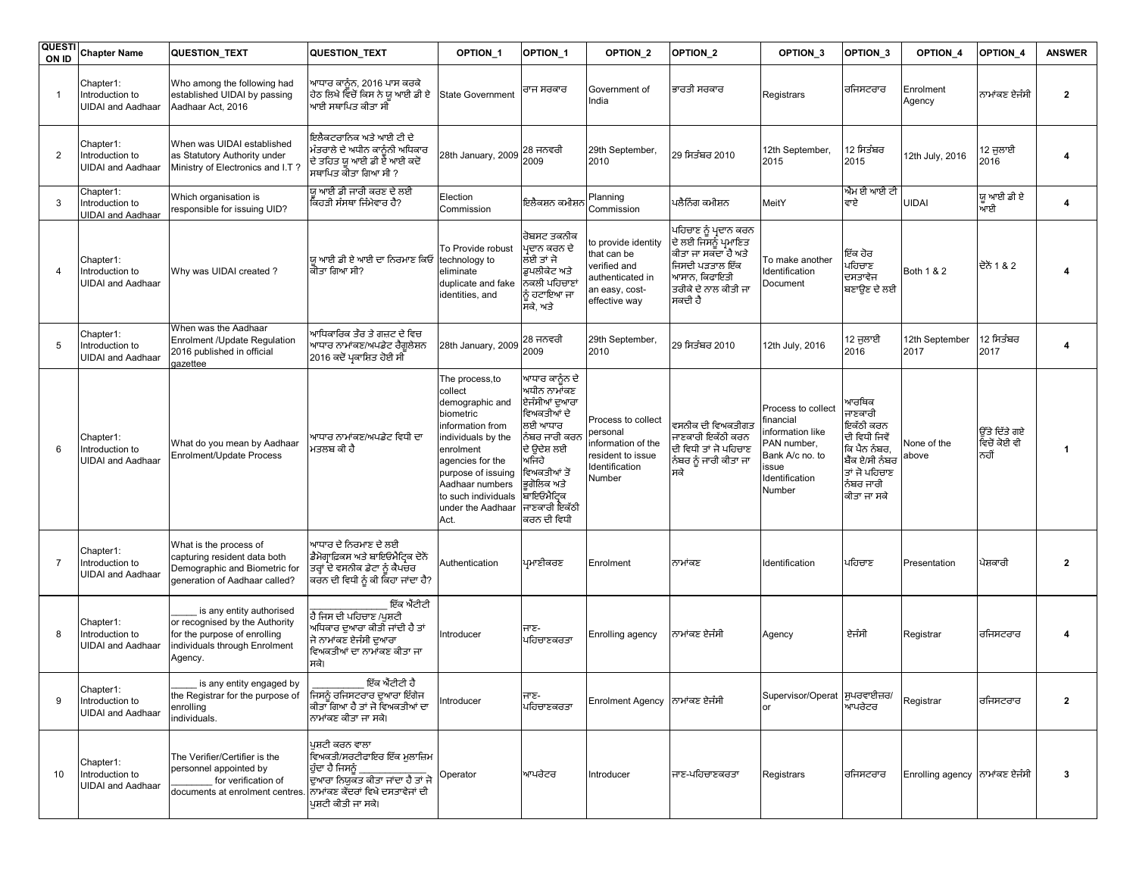| <b>QUESTI</b><br>ON ID | <b>Chapter Name</b>                                      | QUESTION_TEXT                                                                                                                                       | QUESTION_TEXT                                                                                                                           | OPTION <sub>1</sub>                                                                                                                                                                                                              | OPTION_1                                                                                                                                                                                       | OPTION <sub>2</sub>                                                                                       | OPTION_2                                                                                                                                     | OPTION <sub>3</sub>                                                                                                       | OPTION <sub>3</sub>                                                                                                           | OPTION_4                       | OPTION_4                              | <b>ANSWER</b>           |
|------------------------|----------------------------------------------------------|-----------------------------------------------------------------------------------------------------------------------------------------------------|-----------------------------------------------------------------------------------------------------------------------------------------|----------------------------------------------------------------------------------------------------------------------------------------------------------------------------------------------------------------------------------|------------------------------------------------------------------------------------------------------------------------------------------------------------------------------------------------|-----------------------------------------------------------------------------------------------------------|----------------------------------------------------------------------------------------------------------------------------------------------|---------------------------------------------------------------------------------------------------------------------------|-------------------------------------------------------------------------------------------------------------------------------|--------------------------------|---------------------------------------|-------------------------|
|                        | Chapter1:<br>Introduction to<br><b>UIDAI</b> and Aadhaar | Who among the following had<br>established UIDAI by passing<br>Aadhaar Act, 2016                                                                    | ਆਧਾਰ ਕਾਨੂੰਨ, 2016 ਪਾਸ ਕਰਕੇ<br>ਹੇਠ ਲਿਖੇ ਵਿਚੋਂ ਕਿਸ ਨੇ ਯੂ ਆਈ ਡੀ ਏ<br>ਆਈ ਸਥਾਪਿਤ ਕੀਤਾ ਸੀ                                                     | State Government                                                                                                                                                                                                                 | ਰਾਜ ਸਰਕਾਰ                                                                                                                                                                                      | Government of<br>India                                                                                    | ਭਾਰਤੀ ਸਰਕਾਰ                                                                                                                                  | Registrars                                                                                                                | ਰਜਿਸਟਰਾਰ                                                                                                                      | Enrolment<br>Agency            | ਨਾਮਾਂਕਣ ਏਜੰਸੀ                         | $\mathbf{2}$            |
| $\overline{2}$         | Chapter1:<br>Introduction to<br>UIDAI and Aadhaar        | When was UIDAI established<br>as Statutory Authority under<br>Ministry of Electronics and I.T?                                                      | ਇਲੈਕਟਰਾਨਿਕ ਅਤੇ ਆਈ ਟੀ ਦੇ<br>ਮੰਤਰਾਲੇ ਦੇ ਅਧੀਨ ਕਾਨੰਨੀ ਅਧਿਕਾਰ<br>ਦੇ ਤਹਿਤ ਯ ਆਈ ਡੀ ਏ ਆਈ ਕਦੋਂ<br>ਸਥਾਪਿਤ ਕੀਤਾ ਗਿਆ ਸੀ ?                           | 28th January, 2009                                                                                                                                                                                                               | 28 ਜਨਵਰੀ<br>2009                                                                                                                                                                               | 29th September,<br>2010                                                                                   | 29 ਸਿਤੰਬਰ 2010                                                                                                                               | 12th September,<br>2015                                                                                                   | 12 ਸਿਤੰਬਰ<br>2015                                                                                                             | 12th July, 2016                | 12 ਜੁਲਾਈ<br>2016                      | 4                       |
| 3                      | Chapter1:<br>Introduction to<br><b>UIDAI and Aadhaar</b> | Which organisation is<br>responsible for issuing UID?                                                                                               | ਯ ਆਈ ਡੀ ਜਾਰੀ ਕਰਣ ਦੇ ਲਈ<br>ਕਿਹੜੀ ਸੰਸਥਾ ਜਿੰਮੇਵਾਰ ਹੈ?                                                                                      | Election<br>Commission                                                                                                                                                                                                           | ਇਲੈਕਸ਼ਨ ਕਮੀਸ਼                                                                                                                                                                                  | Planning<br>Commission                                                                                    | ਪਲੈਨਿੰਗ ਕਮੀਸ਼ਨ                                                                                                                               | MeitY                                                                                                                     | ਐਮ ਈ ਆਈ ਟੀ<br>ਵਾਏ                                                                                                             | UIDAI                          | ਯੂ ਆਈ ਡੀ ਏ<br>ਆਈ                      | 4                       |
| 4                      | Chapter1:<br>Introduction to<br><b>UIDAI</b> and Aadhaar | Why was UIDAI created?                                                                                                                              | ਯ ਆਈ ਡੀ ਏ ਆਈ ਦਾ ਨਿਰਮਾਣ ਕਿਓਂ<br>ਕੀਤਾ ਗਿਆ ਸੀ?                                                                                             | To Provide robust<br>technology to<br>eliminate<br>duplicate and fake<br>identities, and                                                                                                                                         | ਰੋਬਸਟ ਤਕਨੀਕ<br>ਮ੍ਰਦਾਨ ਕਰਨ ਦੇ<br>ਲੰਈ ਤਾਂ ਜੋ<br>ਡਪਲੀਕੇਟ ਅਤੇ<br>ਨਕਲੀ ਪਹਿਚਾਣਾਂ<br>ਨੰ ਹਟਾਇਆ ਜਾ<br>ਸਕੇ, ਅਤੇ                                                                                          | to provide identity<br>that can be<br>verified and<br>authenticated in<br>an easy, cost-<br>effective way | ਪਹਿਚਾਣ ਨੂੰ ਪ੍ਰਦਾਨ ਕਰਨ<br>ਦੇ ਲਈ ਜਿਸਨੂੰ ਪ੍ਰਮਾਣਿਤ<br>ਕੀਤਾ ਜਾ ਸਕਦਾ ਹੈ ਅਤੇ<br>ਜਿਸਦੀ ਪੜਤਾਲ ਇੱਕ<br>ਆਸਾਨ, ਕਿਫਾਇਤੀ<br>ਤਰੀਕੇ ਦੇ ਨਾਲ ਕੀਤੀ ਜਾ<br>ਸਕਦੀ ਹੈ | To make another<br>Identification<br>Document                                                                             | ਇੱਕ ਹੋਰ<br>ਪਹਿਚਾਣ<br>ਦਸਤਾਵੇਜ<br>ਬਣਾਉਣ ਦੇ ਲਈ                                                                                   | Both 1 & 2                     | ਦੋਨੋਂ 1 & 2                           | 4                       |
| 5                      | Chapter1:<br>Introduction to<br><b>UIDAI</b> and Aadhaar | When was the Aadhaar<br><b>Enrolment /Update Regulation</b><br>2016 published in official<br>gazettee                                               | ਆਧਿਕਾਰਿਕ ਤੌਰ ਤੇ ਗਜ਼ਟ ਦੇ ਵਿਚ<br>ਆਧਾਰ ਨਾਮਾਂਕਣ/ਅਪਡੇਟ ਰੈਗਲੇਸ਼ਨ<br>2016 ਕਦੋਂ ਪ੍ਰਕਾਸ਼ਿਤ ਹੋਈ ਸੀ                                                | 28th January, 2009                                                                                                                                                                                                               | 28 ਜਨਵਰੀ<br>2009                                                                                                                                                                               | 29th September,<br>2010                                                                                   | 29 ਸਿਤੰਬਰ 2010                                                                                                                               | 12th July, 2016                                                                                                           | 12 ਜੁਲਾਈ<br>2016                                                                                                              | 12th September<br>2017         | 12 ਸਿਤੰਬਰ<br>2017                     | 4                       |
| 6                      | Chapter1:<br>Introduction to<br><b>UIDAI</b> and Aadhaar | What do you mean by Aadhaar<br>Enrolment/Update Process                                                                                             | ਆਧਾਰ ਨਾਮਾਂਕਣ/ਅਪਡੇਟ ਵਿਧੀ ਦਾ<br>ਮਤਲਬ ਕੀ ਹੈ                                                                                                | The process, to<br>collect<br>demographic and<br>biometric<br>nformation from<br>ndividuals by the<br>enrolment<br>agencies for the<br>purpose of issuing<br>Aadhaar numbers<br>to such individuals<br>under the Aadhaar<br>Act. | ਮਾਧਾਰ ਕਾਨੂੰਨ ਦੇ<br>ਮਧੀਨ ਨਾਮਾਂਕਣ<br>ਏਜੰਸੀਆਂ ਦੁਆਰਾ<br>ਵਿਅਕਤੀਆਂ ਦੇ<br>ਲਈ ਆਧਾਰ<br>ਨੈਬਰ ਜਾਰੀ ਕਰਨ<br>ਦੇ ੳਦੇਸ਼ ਲਈ<br>ਮਜਿਹੇ<br>ਵਿਅਕਤੀਆਂ ਤੋਂ<br>ਭਗੋਲਿਕ ਅਤੇ<br>ਬਾਇਓਮੈਟਿਕ<br>ਜਾਣਕਾਰੀ ਇਕੱਠੀ<br>ਕਰਨ ਦੀ ਵਿਧੀ | Process to collect<br>personal<br>information of the<br>resident to issue<br>Identification<br>Number     | ਵਸਨੀਕ ਦੀ ਵਿਅਕਤੀਗਤ<br>ਜਾਣਕਾਰੀ ਇਕੱਠੀ ਕਰਨ<br>ਦੀ ਵਿਧੀ ਤਾਂ ਜੋ ਪਹਿਚਾਣ<br>ਨੰਬਰ ਨੂੰ ਜਾਰੀ ਕੀਤਾ ਜਾ<br>ਸਕੇ                                              | Process to collect<br>inancial<br>information like<br>PAN number,<br>Bank A/c no. to<br>issue<br>Identification<br>Number | ਆਰਥਿਕ<br>ਜਾਣਕਾਰੀ<br>ਇਕੱਠੀ ਕਰਨ<br>ਦੀ ਵਿਧੀ ਜਿਵੇਂ<br>ਕਿ ਪੈਨ ਨੰਬਰ,<br>ਬੈਂਕ ਏ/ਸੀ ਨੰਬਰ<br>ਤਾਂ ਜੋ ਪਹਿਚਾਣ<br>ਨੰਬਰ ਜਾਰੀ<br>ਕੀਤਾ ਜਾ ਸਕੇ | None of the<br>above           | ਉੱਤੇ ਦਿੱਤੇ ਗਏ<br>ਵਿਚੋਂ ਕੋਈ ਵੀ<br>ਨਹੀਂ | $\overline{\mathbf{1}}$ |
| $\overline{7}$         | Chapter1:<br>Introduction to<br><b>UIDAI</b> and Aadhaar | What is the process of<br>capturing resident data both<br>Demographic and Biometric for<br>generation of Aadhaar called?                            | ਆਧਾਰ ਦੇ ਨਿਰਮਾਣ ਦੇ ਲਈ<br>ਡੈਮੋਗਾਫ਼ਿਕਸ ਅਤੇ ਬਾਇਓਮੈਟਿਕ ਦੋਨੋ<br>ਤਰਾਂ ਦੇ ਵਸਨੀਕ ਡੇਟਾ ਨੰ ਕੈਪਚਰ<br>ਕਰੌਨ ਦੀ ਵਿਧੀ ਨੂੰ ਕੀ ਕਿਹਾ ਜਾਂਦਾ ਹੈ?             | Authentication                                                                                                                                                                                                                   | ਪਮਾਣੀਕਰਣ                                                                                                                                                                                       | Enrolment                                                                                                 | ਨਾਮਾਂਕਣ                                                                                                                                      | Identification                                                                                                            | ਪਹਿਚਾਣ                                                                                                                        | Presentation                   | ਪੇਸ਼ਕਾਰੀ                              | $\overline{2}$          |
| 8                      | Chapter1:<br>Introduction to<br><b>UIDAI</b> and Aadhaar | is any entity authorised<br>or recognised by the Authority<br>for the purpose of enrolling<br>individuals through Enrolment<br>Agency.              | ਇੱਕ ਐਂਟੀਟੀ<br>ਹੈ ਜਿਸ ਦੀ ਪਹਿਚਾਣ /ਪੁਸ਼ਟੀ<br>ਅਧਿਕਾਰ ਦਆਰਾ ਕੀਤੀ ਜਾਂਦੀ ਹੈ ਤਾਂ<br>ਜੋ ਨਾਮਾਂਕਣ ਏਜੰਸੀ ਦਆਰਾ<br>ਵਿਅਕਤੀਆਂ ਦਾ ਨਾਮਾਂਕਣ ਕੀਤਾ ਜਾ<br>ਸਕੇ। | ntroducer                                                                                                                                                                                                                        | ਜਾਣ-<br>ਪਹਿਚਾਣਕਰਤਾ                                                                                                                                                                             | Enrolling agency                                                                                          | ਨਾਮਾਂਕਣ ਏਜੰਸੀ                                                                                                                                | Agency                                                                                                                    | ਏਜੰਸੀ                                                                                                                         | Registrar                      | ਰਜਿਸਟਰਾਰ                              | 4                       |
| 9                      | Chapter1:<br>Introduction to<br><b>UIDAI</b> and Aadhaar | is any entity engaged by<br>the Registrar for the purpose of<br>enrolling<br>individuals.                                                           | ਼ਇੱਕ ਐਂਟੀਟੀ ਹੈ<br>ਜਿਸਨੂੰ ਰਜਿਸਟਰਾਰ ਦੁਆਰਾ ਇੰਗੇਜ<br>ਕੀਤਾ ਗਿਆ ਹੈ ਤਾਂ ਜੋ ਵਿਅਕਤੀਆਂ ਦਾ<br>ਨਾਮਾਂਕਣ ਕੀਤਾ ਜਾ ਸਕੇ।                                 | Introducer                                                                                                                                                                                                                       | ਜਾਣ-<br>ਪਹਿਚਾਣਕਰਤਾ                                                                                                                                                                             | Enrolment Agency ਨਾਮਾਂਕਣ ਏਜੰਸੀ                                                                            |                                                                                                                                              | Supervisor/Operat ਸੁਪਰਵਾਈਜ਼ਰ/                                                                                             | ਆਪਰੇਟਰ                                                                                                                        | Registrar                      | ਰਜਿਸਟਰਾਰ                              | $\mathbf{2}$            |
| 10                     | Chapter1:<br>Introduction to<br><b>UIDAI</b> and Aadhaar | The Verifier/Certifier is the<br>personnel appointed by<br>for verification of<br>documents at enrolment centres. ਨਾਮਾਂਕਣ ਕੇਂਦਰਾਂ ਵਿਖੇ ਦਸਤਾਵੇਜਾਂ ਦੀ | ਪਸ਼ਟੀ ਕਰਨ ਵਾਲਾ<br>.<br>ਵਿਅਕਤੀ/ਸਰਟੀਫਾਇਰ ਇੱਕ ਮੁਲਾਜ਼ਿਮ<br> ਹੁੰਦਾ ਹੈ ਜਿਸਨੂੰ _<br>ਦੁਆਰਾ ਨਿਯੁਕਤ ਕੀਤਾ ਜਾਂਦਾ ਹੈ ਤਾਂ ਜੋ<br>ਪਸ਼ਟੀ ਕੀਤੀ ਜਾ ਸਕੇ।    | Operator                                                                                                                                                                                                                         | ਆਪਰੇਟਰ                                                                                                                                                                                         | Introducer                                                                                                | ਜਾਣ-ਪਹਿਚਾਣਕਰਤਾ                                                                                                                               | Registrars                                                                                                                | ਰਜਿਸਟਰਾਰ                                                                                                                      | Enrolling agency ਨਾਮਾਂਕਣ ਏਜੰਸੀ |                                       | 3                       |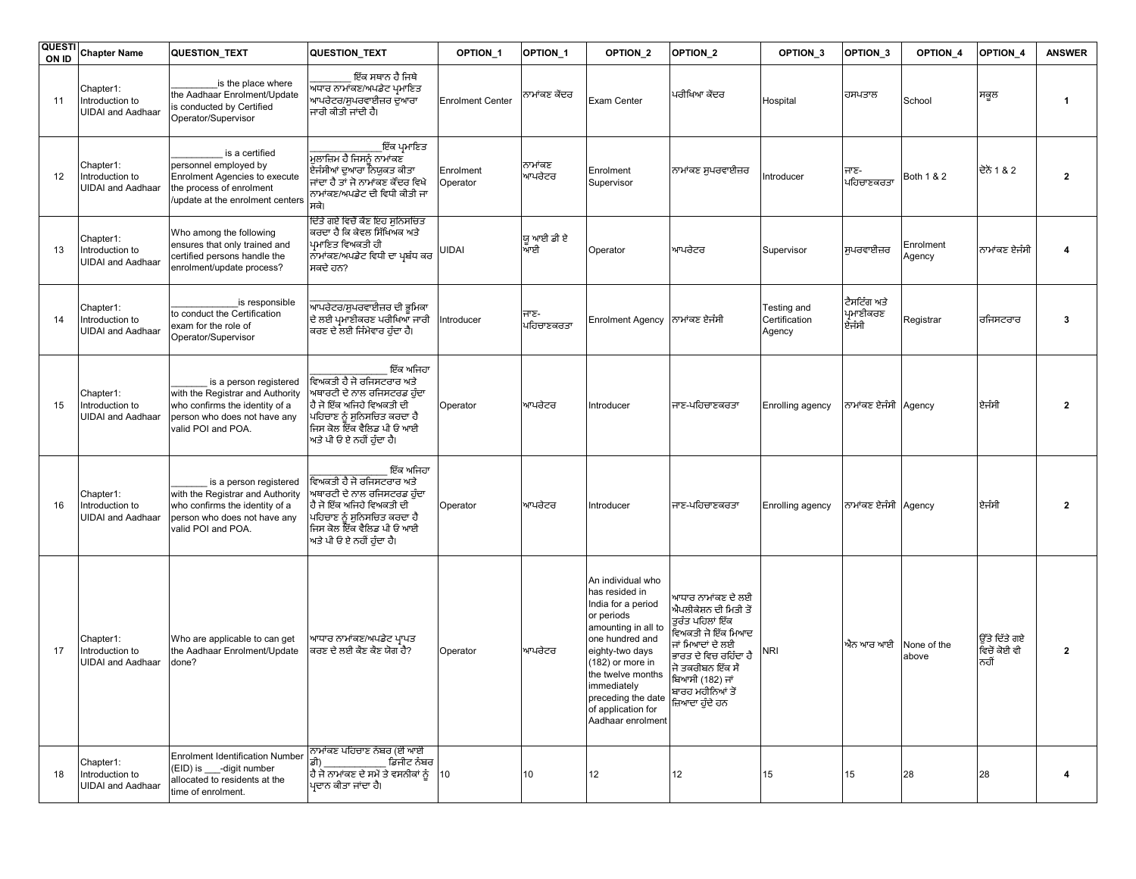| <b>QUESTI</b><br>ON ID | <b>Chapter Name</b>                                      | QUESTION_TEXT                                                                                                                                      | QUESTION_TEXT                                                                                                                                                                                               | OPTION <sub>1</sub>     | OPTION_1           | OPTION <sub>2</sub>                                                                                                                                                                                                                                           | OPTION_2                                                                                                                                                                                                         | OPTION <sub>3</sub>                    | OPTION <sub>3</sub>                | OPTION_4             | OPTION_4                              | <b>ANSWER</b>           |
|------------------------|----------------------------------------------------------|----------------------------------------------------------------------------------------------------------------------------------------------------|-------------------------------------------------------------------------------------------------------------------------------------------------------------------------------------------------------------|-------------------------|--------------------|---------------------------------------------------------------------------------------------------------------------------------------------------------------------------------------------------------------------------------------------------------------|------------------------------------------------------------------------------------------------------------------------------------------------------------------------------------------------------------------|----------------------------------------|------------------------------------|----------------------|---------------------------------------|-------------------------|
| 11                     | Chapter1:<br>Introduction to<br><b>UIDAI</b> and Aadhaar | is the place where<br>the Aadhaar Enrolment/Update<br>s conducted by Certified<br>Operator/Supervisor                                              | ਇੱਕ ਸਥਾਨ ਹੈ ਜਿਥੇ<br>ਅਧਾਰ ਨਾਮਾਂਕਣ/ਅਪਡੇਟ ਪਮਾਣਿਤ<br>ਆਪਰੇਟਰ/ਸੁਪਰਵਾਈਜ਼ਰ ਦੁਆਰਾ<br>ਜਾਰੀ ਕੀਤੀ ਜਾਂਦੀ ਹੈ।                                                                                                             | <b>Enrolment Center</b> | ਨਾਮਾਂਕਣ ਕੇਂਦਰ      | Exam Center                                                                                                                                                                                                                                                   | ਪਰੀਖਿਆ ਕੇਂਦਰ                                                                                                                                                                                                     | Hospital                               | ਹਸਪਤਾਲ                             | School               | ਸਕੂਲ                                  | $\mathbf{1}$            |
| 12                     | Chapter1:<br>Introduction to<br><b>UIDAI</b> and Aadhaar | is a certified<br>personnel employed by<br>Enrolment Agencies to execute<br>the process of enrolment<br>update at the enrolment centers            | _ਇੱਕ ਪ੍ਰਮਾਣਿਤ<br>ਮੁਲਾਜ਼ਿਮ ਹੈ ਜਿਸਨੂੰ ਨਾਮਾਂਕਣ<br>,<br>ਏਜੰਸੀਆਂ ਦੁਆਰਾ ਨਿਯੁਕਤ ਕੀਤਾ<br>ਜਾਂਦਾ ਹੈ ਤਾਂ ਜੋ ਨਾਮਾਂਕਣ ਕੇਂਦਰ ਵਿਖੇ<br>ਨਾਮਾਂਕਣ/ਅਪਡੇਟ ਦੀ ਵਿਧੀ ਕੀਤੀ ਜਾ<br>ਸਕੇ।                                                | Enrolment<br>Operator   | ਨਾਮਾਂਕਣ<br>ਆਪਰੇਟਰ  | Enrolment<br>Supervisor                                                                                                                                                                                                                                       | ਨਾਮਾਂਕਣ ਸੁਪਰਵਾਈਜ਼ਰ                                                                                                                                                                                               | Introducer                             | ਜਾਣ-<br> ਪਹਿਚਾਣਕਰਤਾ                | Both 1 & 2           | ਦੋਨੇਂ 1 & 2                           | $\overline{2}$          |
| 13                     | Chapter1:<br>Introduction to<br><b>UIDAI</b> and Aadhaar | Who among the following<br>ensures that only trained and<br>certified persons handle the<br>enrolment/update process?                              | ਦਿੱਤੇ ਗਏ ਵਿਚੋਂ ਕੈਣ ਇਹ ਸਨਿਸਚਿਤ<br>ਕਰਦਾ ਹੈ ਕਿ ਕੇਵਲ ਸਿੱਖਿਅਕ ਅਤੇ<br>ਪਮਾਇਤ ਵਿਅਕਤੀ ਹੀ<br>ਨਾਮਾਂਕਣ/ਅਪਡੇਟ ਵਿਧੀ ਦਾ ਪ੍ਰਬੰਧ ਕਰ<br>ਸਕਦੇ ਹਨ?                                                                              | UIDAI                   | ਯ ਆਈ ਡੀ ਏ<br>ਆਈ    | Operator                                                                                                                                                                                                                                                      | ਆਪਰੇਟਰ                                                                                                                                                                                                           | Supervisor                             | ਸੁਪਰਵਾਈਜ਼ਰ                         | Enrolment<br>Agency  | ਨਾਮਾਂਕਣ ਏਜੰਸੀ                         | $\boldsymbol{\Lambda}$  |
| 14                     | Chapter1:<br>Introduction to<br><b>UIDAI</b> and Aadhaar | is responsible<br>to conduct the Certification<br>exam for the role of<br>Operator/Supervisor                                                      | -<br>ਆਪਰੇਟਰ/ਸੁਪਰਵਾਈਜ਼ਰ ਦੀ ਭੂਮਿਕਾ<br>ਦੇ ਲਈ ਪ੍ਰਮਾਣੀਕਰਣ ਪਰੀਖਿਆ ਜਾਰੀ<br>ਕਰਣ ਦੇ ਲਈ ਜਿੰਮੇਵਾਰ ਹੁੰਦਾ ਹੈ।                                                                                                            | Introducer              | ਜਾਣ-<br>ਪਹਿਚਾਣਕਰਤਾ | <b>Enrolment Agency</b>                                                                                                                                                                                                                                       | ਨਾਮਾਂਕਣ ਏਜੰਸੀ                                                                                                                                                                                                    | Testing and<br>Certification<br>Agency | ਟੈਸਟਿੰਗ ਅਤੇ<br>ਪ੍ਰਮਾਣੀਕਰਣ<br>ਏਜੰਸੀ | Registrar            | ਰਜਿਸਟਰਾਰ                              | 3                       |
| 15                     | Chapter1:<br>Introduction to<br><b>UIDAI</b> and Aadhaar | is a person registered<br>with the Registrar and Authority<br>who confirms the identity of a<br>person who does not have any<br>valid POI and POA. | ਇੱਕ ਅਜਿਹਾ<br>ਵਿਅਕਤੀ ਹੈ ਜੋ ਰਜਿਸਟਰਾਰ ਅਤੇ<br>ਅਥਾਰਟੀ ਦੇ ਨਾਲ ਰਜਿਸਟਰਡ ਹੁੰਦਾ<br> ਹੈ ਜੋ ਇੱਕ ਅਜਿਹੇ ਵਿਅਕਤੀ ਦੀ<br>ਪਹਿਚਾਣ ਨੂੰ ਸੁਨਿਸਚਿਤ ਕਰਦਾ ਹੈ<br>ਜਿਸ ਕੋਲ ਇੱਕ ਵੈਲਿਡ ਪੀ ਓ ਆਈ<br>ਅਤੇ ਪੀ ਓ ਏ ਨਹੀਂ ਹੁੰਦਾ ਹੈ।                | Operator                | ਆਪਰੇਟਰ             | Introducer                                                                                                                                                                                                                                                    | ਜਾਣ-ਪਹਿਚਾਣਕਰਤਾ                                                                                                                                                                                                   | <b>Enrolling agency</b>                | ਨਾਮਾਂਕਣ ਏਜੰਸੀ Agency               |                      | ਏਜੰਸੀ                                 | $\overline{\mathbf{2}}$ |
| 16                     | Chapter1:<br>Introduction to<br><b>UIDAI</b> and Aadhaar | is a person registered<br>with the Registrar and Authority<br>who confirms the identity of a<br>person who does not have any<br>valid POI and POA. | ਇੱਕ ਅਜਿਹਾ<br><sub>.</sub><br>ਵਿਅਕਤੀ ਹੈ ਜੋ ਰਜਿਸਟਰਾਰ ਅਤੇ<br>ਅਥਾਰਟੀ ਦੇ ਨਾਲ ਰਜਿਸਟਰਡ ਹੁੰਦਾ<br>ਹੈ ਜੋ ਇੱਕ ਅਜਿਹੇ ਵਿਅਕਤੀ ਦੀ<br>ਪਹਿਚਾਣ ਨੂੰ ਸੁਨਿਸਚਿਤ ਕਰਦਾ ਹੈ<br>ਜਿਸ ਕੋਲ ਇੱਕ ਵੈਲਿਡ ਪੀ ਓ ਆਈ<br>ਅਤੇ ਪੀ ਓ ਏ ਨਹੀਂ ਹੁੰਦਾ ਹੈ। | Operator                | ਆਪਰੇਟਰ             | Introducer                                                                                                                                                                                                                                                    | ਜਾਣ-ਪਹਿਚਾਣਕਰਤਾ                                                                                                                                                                                                   | Enrolling agency                       | ਨਾਮਾਂਕਣ ਏਜੰਸੀ Agency               |                      | ਏਜੰਸੀ                                 | $\overline{\mathbf{2}}$ |
| 17                     | Chapter1:<br>Introduction to<br><b>UIDAI</b> and Aadhaar | Who are applicable to can get<br>the Aadhaar Enrolment/Update<br>done?                                                                             | ਆਧਾਰ ਨਾਮਾਂਕਣ/ਅਪਡੇਟ ਪਾਪਤ<br>ਕਿਰਣ ਦੇ ਲਈ ਕੋਣ ਕੋਣ ਯੋਗ ਹੈ?                                                                                                                                                       | Operator                | ਆਪਰੇਟਰ             | An individual who<br>has resided in<br>India for a period<br>or periods<br>amounting in all to<br>one hundred and<br>eighty-two days<br>(182) or more in<br>the twelve months<br>immediately<br>preceding the date<br>of application for<br>Aadhaar enrolment | ਆਧਾਰ ਨਾਮਾਂਕਣ ਦੇ ਲਈ<br>ਐਪਲੀਕੇਸ਼ਨ ਦੀ ਮਿਤੀ ਤੋਂ<br>ਤੁਰੰਤ ਪਹਿਲਾਂ ਇੱਕ<br>ਵਿਅਕਤੀ ਜੋ ਇੱਕ ਮਿਆਦ<br>ਜਾਂ ਮਿਆਦਾਂ ਦੇ ਲਈ<br>ਭਾਰਤ ਦੇ ਵਿਚ ਰਹਿੰਦਾ ਹੈ<br>ਜੋ ਤਕਰੀਬਨ ਇੱਕ ਸੌ<br>ਬਿਆਸੀ (182) ਜਾਂ<br>ਬਾਰਹ ਮਹੀਨਿਆਂ ਤੋਂ<br>ਜ਼ਿਆਦਾ ਹੁੰਦੇ ਹਨ | NRI                                    | ਐਨ ਆਰ ਆਈ                           | None of the<br>above | ਉੱਤੇ ਦਿੱਤੇ ਗਏ<br>ਵਿਚੋਂ ਕੋਈ ਵੀ<br>ਨਹੀਂ | $\overline{2}$          |
| 18                     | Chapter1:<br>Introduction to<br><b>UIDAI</b> and Aadhaar | <b>Enrolment Identification Number</b><br>(EID) is -digit number<br>allocated to residents at the<br>time of enrolment.                            | ਨਾਮਾਂਕਣ ਪਹਿਚਾਣ ਨੰਬਰ (ਈ ਆਈ<br>ਡੀ)<br>ਡਿਜੀਟ ਨੰਬਰ<br>ਹੈ ਜੋ ਨਾਮਾਂਕਣ ਦੇ ਸਮੇਂ ਤੇ ਵਸਨੀਕਾਂ ਨੂੰ  10<br>ਪਦਾਨ ਕੀਤਾ ਜਾਂਦਾ ਹੈ।                                                                                           |                         | 10                 | 12                                                                                                                                                                                                                                                            | 12                                                                                                                                                                                                               | 15                                     | 15                                 | 28                   | 28                                    | 4                       |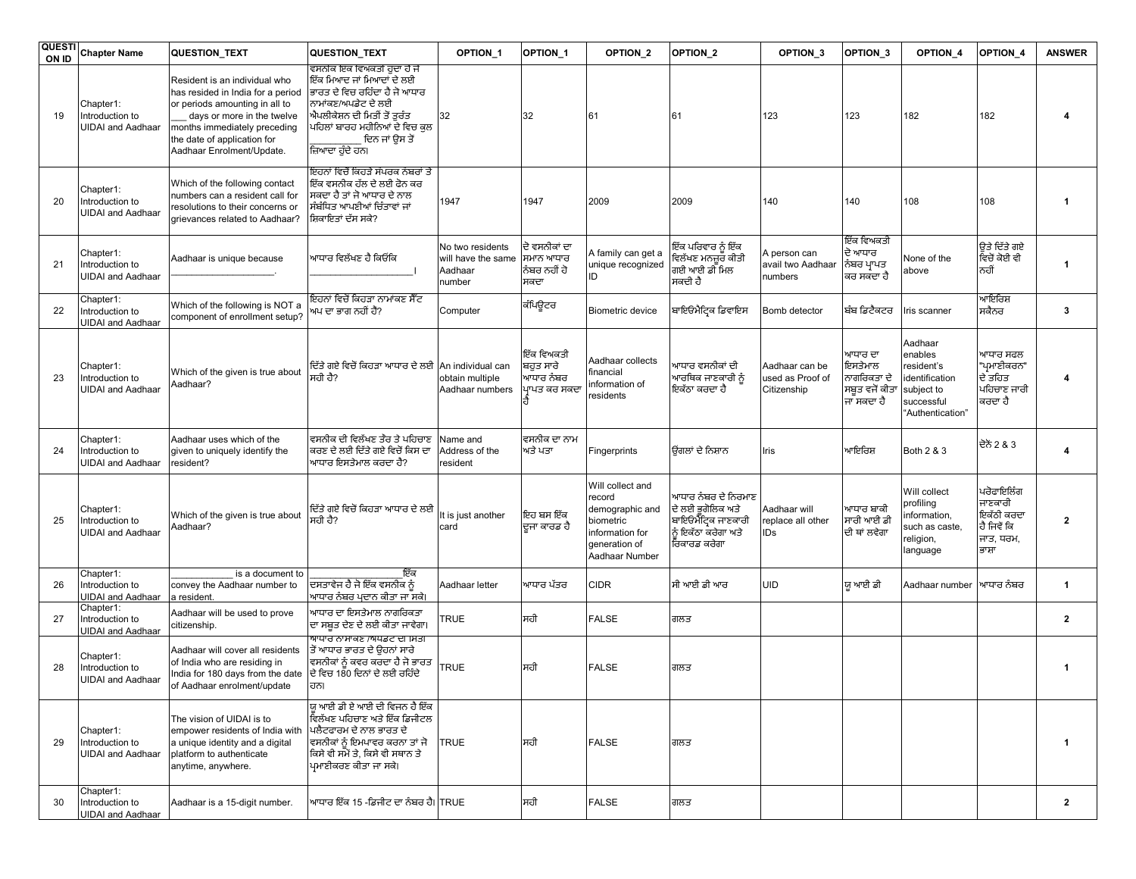| <b>QUESTI</b><br>ON ID | <b>Chapter Name</b>                                      | QUESTION_TEXT                                                                                                                                                                                                                  | QUESTION_TEXT                                                                                                                                                                                                          | OPTION <sub>1</sub>                                         | OPTION_1                                            | OPTION <sub>2</sub>                                                                                              | OPTION_2                                                                                                   | OPTION <sub>3</sub>                               | OPTION <sub>3</sub>                                               | OPTION_4                                                                                           | OPTION_4                                                                 | <b>ANSWER</b>           |
|------------------------|----------------------------------------------------------|--------------------------------------------------------------------------------------------------------------------------------------------------------------------------------------------------------------------------------|------------------------------------------------------------------------------------------------------------------------------------------------------------------------------------------------------------------------|-------------------------------------------------------------|-----------------------------------------------------|------------------------------------------------------------------------------------------------------------------|------------------------------------------------------------------------------------------------------------|---------------------------------------------------|-------------------------------------------------------------------|----------------------------------------------------------------------------------------------------|--------------------------------------------------------------------------|-------------------------|
| 19                     | Chapter1:<br>Introduction to<br><b>UIDAI</b> and Aadhaar | Resident is an individual who<br>has resided in India for a period<br>or periods amounting in all to<br>days or more in the twelve<br>months immediately preceding<br>the date of application for<br>Aadhaar Enrolment/Update. | ਵਸਨੀਕ ਇੱਕ ਵਿਅਕਤੀ ਹੱਦਾ ਹੈ ਜੋ<br>ਇੱਕ ਮਿਆਦ ਜਾਂ ਮਿਆਦਾਂ ਦੇ ਲਈ<br>ਭਾਰਤ ਦੇ ਵਿਚ ਰਹਿੰਦਾ ਹੈ ਜੋ ਆਧਾਰ<br>ਨਾਮਾਂਕਣ/ਅਪਡੇਟ ਦੇ ਲਈ<br>ਐਪਲੀਕੇਸ਼ਨ ਦੀ ਮਿਤੀ ਤੋਂ ਤੁਰੰਤ<br>ਪਹਿਲਾਂ ਬਾਰਹ ਮਹੀਨਿਆਂ ਦੇ ਵਿਚ ਕੁਲ<br>ਦਿਨ ਜਾਂ ਉਸ ਤੋਂ<br>ਜ਼ਿਆਦਾ ਹੰਦੇ ਹਨ। | 32                                                          | 32                                                  | 61                                                                                                               | 61                                                                                                         | 123                                               | 123                                                               | 182                                                                                                | 182                                                                      |                         |
| 20                     | Chapter1:<br>Introduction to<br><b>UIDAI</b> and Aadhaar | Which of the following contact<br>numbers can a resident call for<br>resolutions to their concerns or<br>grievances related to Aadhaar?                                                                                        | ਇਹਨਾਂ ਵਿਚੋਂ ਕਿਹੜੇ ਸੰਪਰਕ ਨੰਬਰਾਂ ਤੇ<br>ਇੱਕ ਵਸਨੀਕ ਹੱਲ ਦੇ ਲਈ ਫੋਨ ਕਰ<br>ਸਕਦਾ ਹੈ ਤਾਂ ਜੋ ਆਧਾਰ ਦੇ ਨਾਲ<br>ਸੰਬੰਧਿਤ ਆਪਣੀਆਂ ਚਿੰਤਾਵਾਂ ਜਾਂ<br>ਸ਼ਿਕਾਇਤਾਂ ਦੱਸ ਸਕੇ?                                                                     | 1947                                                        | 1947                                                | 2009                                                                                                             | 2009                                                                                                       | 140                                               | 140                                                               | 108                                                                                                | 108                                                                      | -1                      |
| 21                     | Chapter1:<br>Introduction to<br><b>UIDAI</b> and Aadhaar | Aadhaar is unique because                                                                                                                                                                                                      | ਆਧਾਰ ਵਿਲੱਖਣ ਹੈ ਕਿਓਂਕਿ                                                                                                                                                                                                  | No two residents<br>will have the same<br>Aadhaar<br>าumber | ਦੋ ਵਸਨੀਕਾਂ ਦਾ<br>ਸਮਾਨ ਆਧਾਰ<br>ਨੰਬਰ ਨਹੀਂ ਹੋ<br>ਸਕਦਾ  | A family can get a<br>unique recognized<br>ID                                                                    | ਇੱਕ ਪਰਿਵਾਰ ਨੂੰ ਇੱਕ<br>ਵਿਲੱਖਣ ਮਨਜ਼ਰ ਕੀਤੀ<br>ਗਈ ਆਈ ਡੀ ਮਿਲ<br>ਸਕਦੀ ਹੈ                                         | A person can<br>avail two Aadhaar<br>numbers      | ਇੱਕ ਵਿਅਕਤੀ<br>ਦੋ ਆਧਾਰ<br> ਨੰਬਰ ਪ੍ਰਾਪਤ<br>ਕਰ ਸਕਦਾ ਹੈ               | None of the<br>above                                                                               | ੳਤੇ ਦਿੱਤੇ ਗਏ<br>ਵਿਚੋਂ ਕੋਈ ਵੀ<br>ਨਹੀਂ                                     | $\mathbf{1}$            |
| 22                     | Chapter1:<br>Introduction to<br><b>UIDAI and Aadhaar</b> | Which of the following is NOT a<br>component of enrollment setup?                                                                                                                                                              | ਇਹਨਾਂ ਵਿਚੋਂ ਕਿਹੜਾ ਨਾਮਾਂਕਣ ਸੈੱਟ<br>ਅਪ ਦਾ ਭਾਗ ਨਹੀਂ ਹੈਂ?                                                                                                                                                                  | Computer                                                    | ਕੰਪਿਉਟਰ                                             | Biometric device                                                                                                 | ਬਾਇਓਮੈਟਿਕ ਡਿਵਾਇਸ                                                                                           | Bomb detector                                     | ਬੰਬ ਡਿਟੈਕਟਰ                                                       | Iris scanner                                                                                       | ਆਇਰਿਸ਼<br>ਸਕੈਨਰ                                                          | 3                       |
| 23                     | Chapter1:<br>Introduction to<br><b>UIDAI</b> and Aadhaar | Which of the given is true about<br>Aadhaar?                                                                                                                                                                                   | ਦਿੱਤੇ ਗਏ ਵਿਚੋਂ ਕਿਹੜਾ ਆਧਾਰ ਦੇ ਲਈ An individual can<br>ਸਹੀ ਹੈ?                                                                                                                                                           | obtain multiple<br>Aadhaar numbers                          | ਇੱਕ ਵਿਅਕਤੀ<br>ਬਹੁਤ ਸਾਰੇ<br>ਆਧਾਰ ਨੰਬਰ<br>ਪਾਪਤ ਕਰ ਸਕਦ | Aadhaar collects<br>financial<br>information of<br>residents                                                     | ਆਧਾਰ ਵਸਨੀਕਾਂ ਦੀ<br>ਆਰਥਿਕ ਜਾਣਕਾਰੀ ਨੂੰ<br>ਇਕੱਠਾ ਕਰਦਾ ਹੈ                                                      | Aadhaar can be<br>used as Proof of<br>Citizenship | ਆਧਾਰ ਦਾ<br>ਇਸਤੇਮਾਲ<br>ਨਾਗਰਿਕਤਾ ਦੇ<br>ਸਬੂਤ ਵਜੋਂ ਕੀਤਾ<br>ਜਾ ਸਕਦਾ ਹੈ | Aadhaar<br>enables<br>resident's<br>identification<br>subject to<br>successful<br>"Authentication" | ਆਧਾਰ ਸਫਲ<br>"ਪ੍ਰਮਾਣੀਕਰਨ"<br>ਦੇ ਤਹਿਤ<br>ਪਹਿਚਾਣ ਜਾਰੀ<br>ਕਰਦਾ ਹੈ            |                         |
| 24                     | Chapter1:<br>Introduction to<br><b>UIDAI and Aadhaar</b> | Aadhaar uses which of the<br>given to uniquely identify the<br>resident?                                                                                                                                                       | ਵਸਨੀਕ ਦੀ ਵਿਲੱਖਣ ਤੌਰ ਤੇ ਪਹਿਚਾਣ<br>ਕਰਣ ਦੇ ਲਈ ਦਿੱਤੇ ਗਏ ਵਿਚੋਂ ਕਿਸ ਦਾ<br>ਆਧਾਰ ਇਸਤੇਮਾਲ ਕਰਦਾ ਹੈ?                                                                                                                              | Vame and<br>Address of the<br>esident                       | ਵਸਨੀਕ ਦਾ ਨਾਮ<br>ਅਤੇ ਪਤਾ                             | Fingerprints                                                                                                     | ਓਂਗਲਾਂ ਦੇ ਨਿਸ਼ਾਨ                                                                                           | Iris                                              | ਆਇਰਿਸ਼                                                            | Both 2 & 3                                                                                         | ਦੋਨੋਂ 2 & 3                                                              | 4                       |
| 25                     | Chapter1:<br>Introduction to<br><b>UIDAI</b> and Aadhaar | Which of the given is true about<br>Aadhaar?                                                                                                                                                                                   | ਦਿੱਤੇ ਗਏ ਵਿਚੋਂ ਕਿਹੜਾ ਆਧਾਰ ਦੇ ਲਈ<br>ਸਹੀ ਹੈ?                                                                                                                                                                             | t is just another<br>card                                   | ਇਹ ਬਸ ਇੱਕ<br>ਦੂਜਾ ਕਾਰਡ ਹੈ                           | Will collect and<br>record<br>demographic and<br>biometric<br>information for<br>generation of<br>Aadhaar Number | ਆਧਾਰ ਨੰਬਰ ਦੇ ਨਿਰਮਾਣ<br>ਦੇ ਲਈ ਭਗੋਲਿਕ ਅਤੇ<br>.<br>ਬਾਇਓਮੈੱਟ੍ਰਿਕ ਜਾਣਕਾਰੀ<br>ਨੰ ਇਕੱਠਾ ਕਰੇਗਾ ਅਤੇ<br>ਰਿਕਾਰਡ ਕਰੇਗਾ | Aadhaar will<br>replace all other<br>IDs          | ਆਧਾਰ ਬਾਕੀ<br>ਸਾਰੀ ਆਈ ਡੀ<br>ਦੀ ਥਾਂ ਲਵੇਗਾ                           | Will collect<br>profiling<br>nformation,<br>such as caste,<br>religion,<br>language                | ਪਰੋਫਾਇਲਿੰਗ<br>ਜਾਣਕਾਰੀ<br>ਇਕੱਠੀ ਕਰਦਾ<br>ਹੈ ਜਿਵੇਂ ਕਿ<br>ਜਾਤ, ਧਰਮ,<br>ਭਾਸ਼ਾ | $\overline{\mathbf{2}}$ |
| 26                     | Chapter1:<br>Introduction to<br><b>UIDAI</b> and Aadhaar | is a document to<br>convey the Aadhaar number to<br>a resident.                                                                                                                                                                | ਇੱਕ<br>ਦਸਤਾਵੇਜ ਹੈ ਜੋ ਇੱਕ ਵਸਨੀਕ ਨੂੰ<br>ਆਧਾਰ ਨੰਬਰ ਪਦਾਨ ਕੀਤਾ ਜਾ ਸਕੇ।                                                                                                                                                      | Aadhaar letter                                              | ਆਧਾਰ ਪੱਤਰ                                           | <b>CIDR</b>                                                                                                      | ਸੀ ਆਈ ਡੀ ਆਰ                                                                                                | <b>UID</b>                                        | ਯ ਆਈ ਡੀ                                                           | Aadhaar number                                                                                     | ਆਧਾਰ ਨੰਬਰ                                                                | $\mathbf{1}$            |
| 27                     | Chapter1:<br>Introduction to<br><b>UIDAI</b> and Aadhaar | Aadhaar will be used to prove<br>citizenship.                                                                                                                                                                                  | ਆਧਾਰ ਦਾ ਇਸਤੇਮਾਲ ਨਾਗਰਿਕਤਾ<br>ਦਾ ਸਬੂਤ ਦੇਣ ਦੇ ਲਈ ਕੀਤਾ ਜਾਵੇਗਾ।                                                                                                                                                             | <b>TRUE</b>                                                 | ਸਹੀ                                                 | <b>FALSE</b>                                                                                                     | ਗਲਤ                                                                                                        |                                                   |                                                                   |                                                                                                    |                                                                          | $\overline{2}$          |
| 28                     | Chapter1:<br>Introduction to<br><b>UIDAI</b> and Aadhaar | Aadhaar will cover all residents<br>of India who are residing in<br>India for 180 days from the date ਦੇ ਵਿਚ 180 ਦਿਨਾਂ ਦੇ ਲਈ ਰਹਿੰਦੇ<br>of Aadhaar enrolment/update                                                              | <u>ਆਧਾਰ ਨਾਸਾਕਣ /ਅਧਡਟ ਦੀ ਸਿਤੀ</u><br>ਤੋਂ ਆਧਾਰ ਭਾਰਤ ਦੇ ੳਹਨਾਂ ਸਾਰੇ<br>ਵਸਨੀਕਾਂ ਨੂੰ ਕਵਰ ਕਰਦਾ ਹੈ ਜੋ ਭਾਰਤ<br>ਹਨ।                                                                                                              | <b>TRUE</b>                                                 | ਸਹੀ                                                 | <b>FALSE</b>                                                                                                     | ਗਲਤ                                                                                                        |                                                   |                                                                   |                                                                                                    |                                                                          | 1                       |
| 29                     | Chapter1:<br>Introduction to<br><b>UIDAI</b> and Aadhaar | The vision of UIDAI is to<br>empower residents of India with ਪਲੈਟਫਾਰਮ ਦੇ ਨਾਲ ਭਾਰਤ ਦੇ<br>a unique identity and a digital<br>platform to authenticate<br>anytime, anywhere.                                                      | ਯ ਆਈ ਡੀ ਏ ਆਈ ਦੀ ਵਿਜਨ ਹੈ ਇੱਕ<br> ਵਿਲੱਖਣ ਪਹਿਚਾਣ ਅਤੇ ਇੱਕ ਡਿਜੀਟਲ<br>ਵਸਨੀਕਾਂ ਨੂੰ ਇਮਪਾਵਰ ਕਰਨਾ ਤਾਂ ਜੋ<br>ਕਿਸੇ ਵੀ ਸਮੇਂ ਤੇ, ਕਿਸੇ ਵੀ ਸਥਾਨ ਤੇ<br>ਪਮਾਣੀਕਰਣ ਕੀਤਾ ਜਾ ਸਕੇ।                                                            | <b>TRUE</b>                                                 | ਸਹੀ                                                 | <b>FALSE</b>                                                                                                     | ਗਲਤ                                                                                                        |                                                   |                                                                   |                                                                                                    |                                                                          | $\mathbf{1}$            |
| 30                     | Chapter1:<br>Introduction to<br><b>UIDAI</b> and Aadhaar | Aadhaar is a 15-digit number.                                                                                                                                                                                                  | ਆਧਾਰ ਇੱਕ 15 -ਡਿਜੀਟ ਦਾ ਨੰਬਰ ਹੈ। TRUE                                                                                                                                                                                    |                                                             | ਸਹੀ                                                 | <b>FALSE</b>                                                                                                     | ਗਲਤ                                                                                                        |                                                   |                                                                   |                                                                                                    |                                                                          | $\overline{2}$          |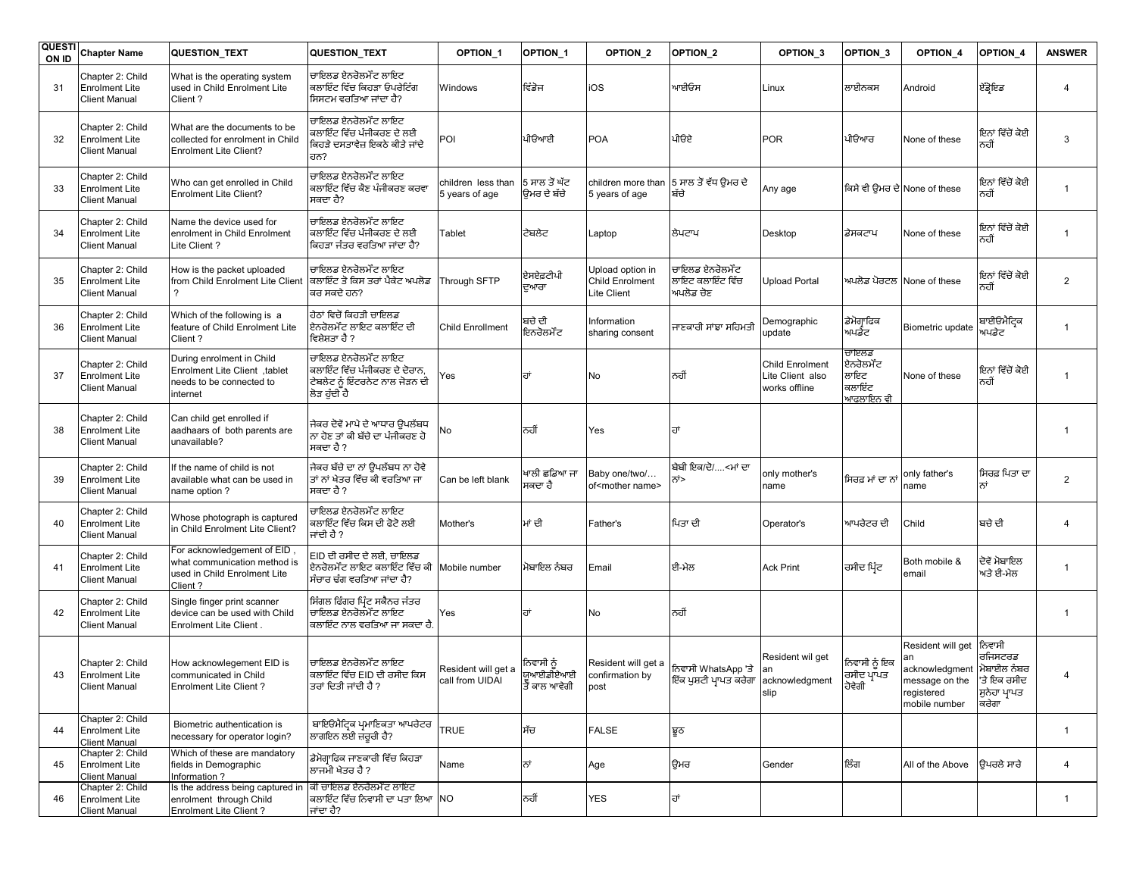| <b>QUESTI</b><br>ON ID | <b>Chapter Name</b>                                               | <b>QUESTION_TEXT</b>                                                                                  | QUESTION_TEXT                                                                                           | OPTION <sub>1</sub>                    | OPTION <sub>1</sub>                      | OPTION <sub>2</sub>                                | OPTION_2                                                     | OPTION <sub>3</sub>                                         | OPTION_3                                          | OPTION_4                                                                                                    | OPTION_4                                    | <b>ANSWER</b>  |
|------------------------|-------------------------------------------------------------------|-------------------------------------------------------------------------------------------------------|---------------------------------------------------------------------------------------------------------|----------------------------------------|------------------------------------------|----------------------------------------------------|--------------------------------------------------------------|-------------------------------------------------------------|---------------------------------------------------|-------------------------------------------------------------------------------------------------------------|---------------------------------------------|----------------|
| 31                     | Chapter 2: Child<br><b>Enrolment Lite</b><br><b>Client Manual</b> | What is the operating system<br>used in Child Enrolment Lite<br>Client?                               | ਚਾਇਲਡ ਏਨਰੋਲਮੇੰਟ ਲਾਇਟ<br>ਕਲਾਇੰਟ ਵਿੱਚ ਕਿਹੜਾ ਓਪਰੇਟਿੰਗ<br>ਸਿਸਟਮ ਵਰਤਿਆ ਜਾਂਦਾ ਹੈ?                             | Windows                                | ਵੇਂਡੇਜ                                   | iOS                                                | ਆਈਓਸ                                                         | Linux                                                       | ਲਾਈਨਕਸ                                            | Android                                                                                                     | ਏੰਡ੍ਹੋਇਡ                                    | $\overline{4}$ |
| 32                     | Chapter 2: Child<br><b>Enrolment Lite</b><br><b>Client Manual</b> | What are the documents to be<br>collected for enrolment in Child<br><b>Enrolment Lite Client?</b>     | ਰਾਇਲਡ ਏਨਰੋਲਮੇੰਟ ਲਾਇਟ<br>ਕਲਾਇੰਟ ਵਿੱਚ ਪੰਜੀਕਰਣ ਦੇ ਲਈ<br>ਕਹੜੇ ਦਸਤਾਵੇਜ਼ ਇਕਠੇ ਕੀਤੇ ਜਾਂਦੇ<br>ਹਨ?               | POI                                    | ਪੀਓਆਈ                                    | POA                                                | ਪੀਓਏ                                                         | <b>POR</b>                                                  | ਪੀਓਆਰ                                             | None of these                                                                                               | ਇਨਾਂ ਵਿੱਚੋਂ ਕੋਈ<br>ਨਹੀਂ                     | 3              |
| 33                     | Chapter 2: Child<br><b>Enrolment Lite</b><br><b>Client Manual</b> | Who can get enrolled in Child<br><b>Enrolment Lite Client?</b>                                        | ਚਾਇਲਡ ਏਨਰੋਲਮੇੰਟ ਲਾਇਟ<br>ਕਲਾਇੰਟ ਵਿੱਚ ਕੋਣ ਪੰਜੀਕਰਣ ਕਰਵਾ<br>ਸਕਦਾ ਹੈ?                                        | children less than<br>5 years of age   | 5 ਸਾਲ ਤੋਂ ਘੱਟ<br>ੳਮਰ ਦੇ ਬੱਚੇ             | children more than<br>5 years of age               | 5 ਸਾਲ ਤੋਂ ਵੱਧ ਉਮਰ ਦੇ<br>ਬੱਚੇ                                 | Any age                                                     |                                                   | ਕਿਸੇ ਵੀ ਉਮਰ ਦੇ None of these                                                                                | ਇਨਾਂ ਵਿੱਚੋਂ ਕੋਈ<br>ਨਹੀਂ                     | $\overline{1}$ |
| 34                     | Chapter 2: Child<br><b>Enrolment Lite</b><br><b>Client Manual</b> | Name the device used for<br>enrolment in Child Enrolment<br>Lite Client?                              | ਚਾਇਲਡ ਏਨਰੋਲਮੇੰਟ ਲਾਇਟ<br>ਕਲਾਇੰਟ ਵਿੱਚ ਪੰਜੀਕਰਣ ਦੇ ਲਈ<br>ਕਿਹੜਾ ਜੰਤਰ ਵਰਤਿਆ ਜਾਂਦਾ ਹੈ?                         | Tablet                                 | ਟੇਬਲੇਟ                                   | _aptop                                             | ਲੇਪਟਾਪ                                                       | Desktop                                                     | ਡੇਸਕਟਾਪ                                           | None of these                                                                                               | ਇਨਾਂ ਵਿੱਚੋਂ ਕੋਈ<br>ਨਹੀਂ                     | $\mathbf{1}$   |
| 35                     | Chapter 2: Child<br><b>Enrolment Lite</b><br><b>Client Manual</b> | How is the packet uploaded<br>from Child Enrolment Lite Client                                        | ਚਾਇਲਡ ਏਨਰੋਲਮੇੰਟ ਲਾਇਟ<br>ਕਲਾਇੰਟ ਤੋ ਕਿਸ ਤਰਾਂ ਪੈਕੇਟ ਅਪਲੋਡ<br>ਕਰ ਸਕਦੇ ਹਨ?                                   | Through SFTP                           | ਏਸਏਫ਼ਟੀਪੀ<br>ਦਆਰਾ                        | Upload option in<br>Child Enrolment<br>Lite Client | ਚਾਇਲਡ ਏਨਰੋਲਮੇੰਟ<br>ਲਾਇਟ ਕਲਾਇੰਟ ਵਿੱਚ<br>ਅਪਲੋਡ ਚੋਣ             | <b>Upload Portal</b>                                        |                                                   | ਅਪਲੋਡ ਪੋਰਟਲ None of these                                                                                   | ਇਨਾਂ ਵਿੱਚੋਂ ਕੋਈ<br>ਨਹੀਂ                     | $\overline{2}$ |
| 36                     | Chapter 2: Child<br><b>Enrolment Lite</b><br><b>Client Manual</b> | Which of the following is a<br>feature of Child Enrolment Lite<br>Client?                             | ਹੇਠਾਂ ਵਿਚੋਂ ਕਿਹੜੀ ਚਾਇਲਡ<br>ਏਨਰੋਲਮੇੰਟ ਲਾਇਟ ਕਲਾਇੰਟ ਦੀ<br>ਵਿਸ਼ੇਸ਼ਤਾ ਹੈ ?                                   | <b>Child Enrollment</b>                | ਬਚੇ ਦੀ<br>ਇਨਰੋਲਮੰੰਟ                      | Information<br>sharing consent                     | ਜਾਣਕਾਰੀ ਸਾਂਝਾ ਸਹਿਮਤੀ                                         | Demographic<br>update                                       | ਡੇਮੋਗ੍ਰਾਫਿਕ<br>ਅਪਡੇਟ                              | Biometric update                                                                                            | ਬਾਈੳਮੈਟਿਕ<br>ਅਪਡੇਟ                          | $\overline{1}$ |
| 37                     | Chapter 2: Child<br><b>Enrolment Lite</b><br><b>Client Manual</b> | During enrolment in Child<br>Enrolment Lite Client, tablet<br>needs to be connected to<br>internet    | ਚਾਇਲਡ ਏਨਰੋਲਮੇੰਟ ਲਾਇਟ<br>ਕਲਾਇੰਟ ਵਿੱਚ ਪੰਜੀਕਰਣ ਦੇ ਦੋਰਾਨ.<br>ਟੇਬਲੇਟ ਨੂੰ ਇੰਟਰਨੇਟ ਨਾਲ ਜੋੜਨ ਦੀ<br>ਲੋੜ ਹੁੰਦੀ ਹੈ | ⁄es                                    | ਹਾਂ                                      | No                                                 | ਨਹੀਂ                                                         | <b>Child Enrolment</b><br>Lite Client also<br>works offline | ਰਾਇਲਡ<br>ਏਨਰੋਲਮੇੰਟ<br>ਲਾਇਟ<br>ਕਲਾਇੰਟ<br>ਆਫਲਾਇਨ ਵੀ | None of these                                                                                               | ਇਨਾਂ ਵਿੱਚੋਂ ਕੋਈ<br>ਨਹੀਂ                     | -1             |
| 38                     | Chapter 2: Child<br><b>Enrolment Lite</b><br><b>Client Manual</b> | Can child get enrolled if<br>aadhaars of both parents are<br>unavailable?                             | ਜੇਕਰ ਦੋਵੇਂ ਮਾਪੇ ਦੇ ਆਧਾਰ ੳਪਲੱਬਧ<br>ਨਾ ਹੋਣ ਤਾਂ ਕੀ ਬੱਚੇ ਦਾ ਪੰਜੀਕਰਣ ਹੋ<br>ਸਕਦਾ ਹੈ ?                         | No                                     | ਨਹੀਂ                                     | Yes                                                | ਹਾਂ                                                          |                                                             |                                                   |                                                                                                             |                                             | $\overline{1}$ |
| 39                     | Chapter 2: Child<br><b>Enrolment Lite</b><br><b>Client Manual</b> | If the name of child is not<br>available what can be used in<br>name option?                          | ਜੇਕਰ ਬੱਚੇ ਦਾ ਨਾਂ ੳਪਲੱਬਧ ਨਾ ਹੋਵੇ<br>ਤਾਂ ਨਾਂ ਖੇਤਰ ਵਿੱਚ ਕੀ ਵਰਤਿਆ ਜਾ<br>ਸਕਦਾ ਹੈ ?                           | Can be left blank                      | <sub>ਸਾਲੀ ਛਡਿਆ ਜਾ</sub><br>ਜਕਦਾ ਹੈ       | Baby one/two/<br>of <mother name=""></mother>      | ਬੇਬੀ ਇਕ/ਦੋ/<ਮਾਂ ਦਾ                                           | only mother's<br>name                                       | ਸਿਰਫ਼ ਮਾਂ ਦਾ ਨਾਂ                                  | only father's<br>name                                                                                       | ਸਿਰਫ਼ ਪਿਤਾ ਦਾ<br>ਨਾਂ                        | $\overline{2}$ |
| 40                     | Chapter 2: Child<br><b>Enrolment Lite</b><br><b>Client Manual</b> | Whose photograph is captured<br>in Child Enrolment Lite Client?                                       | ਚਾਇਲਡ ਏਨਰੋਲਮੇੰਟ ਲਾਇਟ<br>ਕਲਾਇੰਟ ਵਿੱਚ ਕਿਸ ਦੀ ਫੋਟੋ ਲਈ<br>ਜਾਂਦੀ ਹੈ ?                                        | Mother's                               | ਮਾਂ ਦੀ                                   | Father's                                           | ਪਿਤਾ ਦੀ                                                      | Operator's                                                  | ਆਪਰੇਟਰ ਦੀ                                         | Child                                                                                                       | ਬਚੇ ਦੀ                                      | $\overline{4}$ |
| 41                     | Chapter 2: Child<br><b>Enrolment Lite</b><br><b>Client Manual</b> | For acknowledgement of EID<br>what communication method is<br>used in Child Enrolment Lite<br>Client? | EID ਦੀ ਰਸੀਦ ਦੇ ਲਈ, ਚਾਇਲਡ<br>ਏਨਰੋਲਮੇੰਟ ਲਾਇਟ ਕਲਾਇੰਟ ਵਿੱਚ ਕੀ  Mobile number<br>ਸੰਚਾਰ ਢੰਗ ਵਰਤਿਆ ਜਾਂਦਾ ਹੈ?   |                                        | ਮੋਬਾਇਲ ਨੰਬਰ                              | Email                                              | ਈ-ਮੇਲ                                                        | <b>Ack Print</b>                                            | ਰਸੀਦ ਪਿੰਟ                                         | Both mobile &<br>email                                                                                      | ਦੋਵੇਂ ਮੋਬਾਇਲ<br>ਅਤੇ ਈ-ਮੇਲ                   | $\overline{1}$ |
| 42                     | Chapter 2: Child<br><b>Enrolment Lite</b><br><b>Client Manual</b> | Single finger print scanner<br>device can be used with Child<br>Enrolment Lite Client.                | ਸਿੰਗਲ ਫਿੰਗਰ ਪਿੰਟ ਸਕੈਨਰ ਜੰਤਰ<br>ਚਾਇਲਡ ਏਨਰੋਲਮੇੰਟ ਲਾਇਟ<br>ਕਲਾਇੰਟ ਨਾਲ ਵਰਤਿਆ ਜਾ ਸਕਦਾ ਹੈ                      | Yes                                    | ਹਾਂ                                      | No                                                 | ਨਹੀਂ                                                         |                                                             |                                                   |                                                                                                             |                                             | $\overline{1}$ |
| 43                     | Chapter 2: Child<br><b>Enrolment Lite</b><br><b>Client Manual</b> | How acknowlegement EID is<br>communicated in Child<br>Enrolment Lite Client?                          | ਰਾਇਲਡ ਏਨਰੋਲਮੇੰਟ ਲਾਇਟ<br>ਕਲਾਇੰਟ ਵਿੱਚ EID ਦੀ ਰਸੀਦ ਕਿਸ<br>ਤਰਾਂ ਦਿਤੀ ਜਾਂਦੀ ਹੈ ?                             | Resident will get a<br>call from UIDAI | ਨਿਵਾਸੀ ਨੂੰ<br>ਯੁਆਈਡੀਏਆਈ<br>ਤੋਂ ਕਾਲ ਆਵੇਗੀ | Resident will get a<br>confirmation by<br>post     | ਨਿਵਾਸੀ WhatsApp 'ਤੇ<br>ਇੱਕ ਪਸ਼ਟੀ ਪ੍ਰਾਪਤ ਕਰੇਗਾ acknowledgment | Resident wil get<br>an<br>slip                              | ਨਿਵਾਸੀ ਨੂੰ ਇਕ<br>ਰਸੀਦ ਪ੍ਰਾੱਪਤ<br>ਹੋਵੇਗੀ           | Resident will get<br>acknowledgment ਮੋਬਾਈਲ ਨੰਬਰ<br>message on the ਤੇ ਇਕ ਰਸੀਦ<br>registered<br>mobile number | ਨਿਵਾਸੀ<br>ਰਜਿਸਟਰਡ<br>ਸੁਨੇਹਾ ਪ੍ਰਾਪਤ<br>ਕਰੇਗਾ | $\overline{4}$ |
| 44                     | Chapter 2: Child<br><b>Enrolment Lite</b><br>Client Manual        | Biometric authentication is<br>necessary for operator login?                                          | ਬਾਇਓਮੈਟ੍ਰਿਕ ਪ੍ਰਮਾਣਿਕਤਾ ਆਪਰੇਟਰ<br>ਲਾਗਇਨ ਲਈ ਜ਼ਰੂਰੀ ਹੈ?                                                    | <b>TRUE</b>                            | ਸੱਚ                                      | <b>FALSE</b>                                       | ਝੂਠ                                                          |                                                             |                                                   |                                                                                                             |                                             | $\mathbf{1}$   |
| 45                     | Chapter 2: Child<br><b>Enrolment Lite</b><br><b>Client Manual</b> | Which of these are mandatory<br>fields in Demographic<br>Information?                                 | ਡੇਮੋਗਾਫਿਕ ਜਾਣਕਾਰੀ ਵਿੱਚ ਕਿਹੜਾ<br>ਲਾਜਮੀ ਖੇਤਰ ਹੈ ?                                                         | Name                                   | ਨਾਂ                                      | Age                                                | ਉਮਰ                                                          | Gender                                                      | ਲਿੰਗ                                              | All of the Above                                                                                            | ੳਪਰਲੇ ਸਾਰੇ                                  | $\overline{4}$ |
| 46                     | Chapter 2: Child<br><b>Enrolment Lite</b><br><b>Client Manual</b> | Is the address being captured in<br>enrolment through Child<br><b>Enrolment Lite Client?</b>          | ਕੀ ਚਾਇਲਡ ਏਨਰੋਲਮੇੰਟ ਲਾਇਟ<br>ਕਲਾਇੰਟ ਵਿੱਚ ਨਿਵਾਸੀ ਦਾ ਪਤਾ ਲਿਆ RO<br>ਜਾਂਦਾ ਹੈ?                                |                                        | ਨਹੀਂ                                     | <b>YES</b>                                         | ਹਾਂ                                                          |                                                             |                                                   |                                                                                                             |                                             | $\mathbf{1}$   |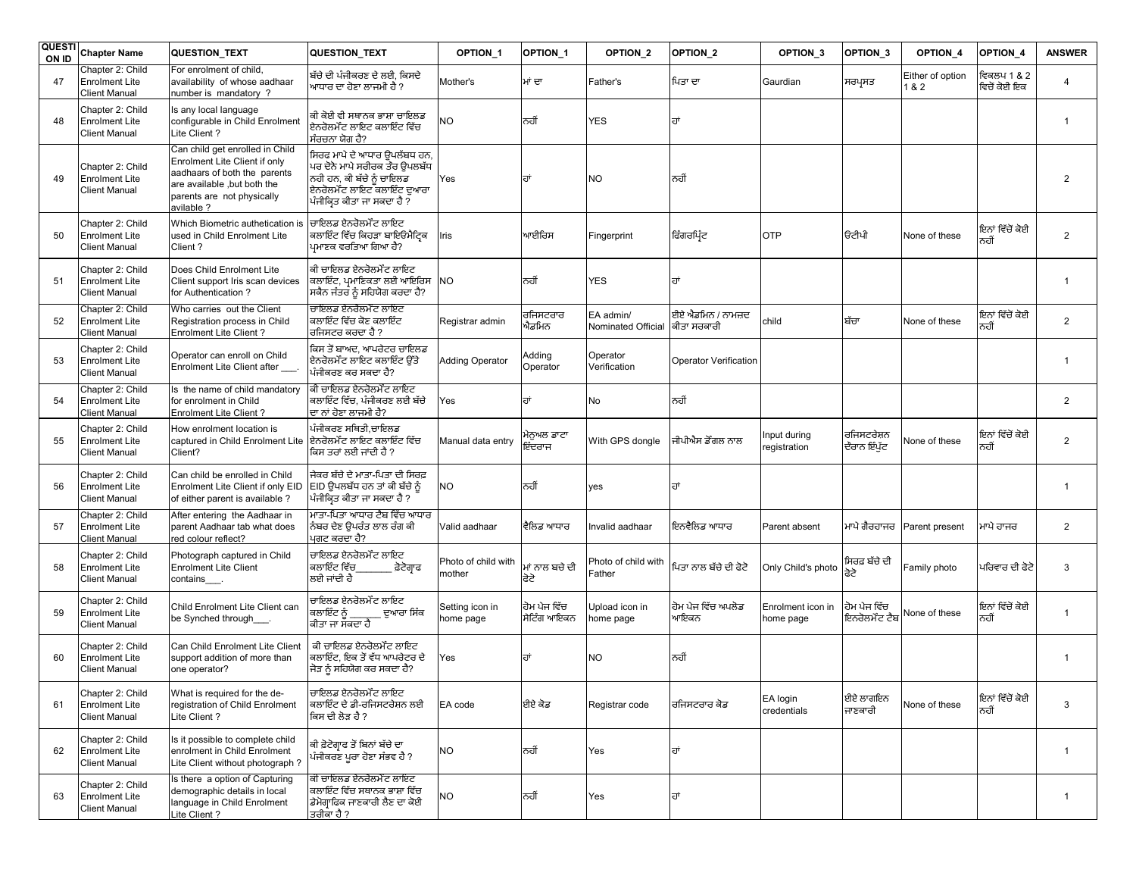|    | QUESTI Chapter Name                                               | QUESTION_TEXT                                                                                                                                                               | QUESTION_TEXT                                                                                                                                         | OPTION <sub>1</sub>           | OPTION_1                    | OPTION <sub>2</sub>             | OPTION_2                         | OPTION 3                       | OPTION_3                      | OPTION_4                | OPTION_4                    | <b>ANSWER</b>  |
|----|-------------------------------------------------------------------|-----------------------------------------------------------------------------------------------------------------------------------------------------------------------------|-------------------------------------------------------------------------------------------------------------------------------------------------------|-------------------------------|-----------------------------|---------------------------------|----------------------------------|--------------------------------|-------------------------------|-------------------------|-----------------------------|----------------|
| 47 | Chapter 2: Child<br><b>Enrolment Lite</b><br><b>Client Manual</b> | For enrolment of child,<br>availability of whose aadhaar<br>number is mandatory?                                                                                            | ਬੱਚੇ ਦੀ ਪੰਜੀਕਰਣ ਦੇ ਲਈ, ਕਿਸਦੇ<br>ਆਧਾਰ ਦਾ ਹੋਣਾ ਲਾਜਮੀ ਹੈ ?                                                                                               | Mother's                      | ਮਾਂ ਦਾ                      | Father's                        | ਪਿਤਾ ਦਾ                          | Gaurdian                       | ਸਰਪ੍ਰਸਤ                       | Either of option<br>1&2 | ਵਿਕਲਪ 1 & 2<br>ਵਿਚੋਂ ਕੋਈ ਇਕ | $\overline{4}$ |
| 48 | Chapter 2: Child<br><b>Enrolment Lite</b><br><b>Client Manual</b> | Is any local language<br>configurable in Child Enrolment<br>Lite Client?                                                                                                    | ਕੀ ਕੋਈ ਵੀ ਸਥਾਨਕ ਭਾਸ਼ਾ ਚਾਇਲਡ<br>ਏਨਰੋਲਮੇੰਟ ਲਾਇਟ ਕਲਾਇੰਟ ਵਿੱਚ<br>ਸੰਰਚਨਾ ਯੋਗ ਹੈ?                                                                           | NО                            | ਨਹੀਂ                        | <b>YES</b>                      |                                  |                                |                               |                         |                             | $\overline{1}$ |
| 49 | Chapter 2: Child<br><b>Enrolment Lite</b><br><b>Client Manual</b> | Can child get enrolled in Child<br>Enrolment Lite Client if only<br>aadhaars of both the parents<br>are available, but both the<br>parents are not physically<br>avilable ? | ਸਿਰਫ ਮਾਪੇ ਦੇ ਆਧਾਰ ਉਪਲੱਬਧ ਹਨ,<br>ਪਰ ਦੋਨੋ ਮਾਪੇ ਸਰੀਰਕ ਤੌਰ ਉਪਲਬੱਧ<br>ਨਹੀ ਹਨ, ਕੀ ਬੱਚੇ ਨੂੰ ਚਾਇਲਡ<br>ਏਨਰੋਲਮੇੰਟ ਲਾਇਟ ਕਲਾਇੰਟ ਦਆਰਾ<br>ਪੰਜੀਕਿਤ ਕੀਤਾ ਜਾ ਸਕਦਾ ਹੈ ? | Yes                           | ਹਾਂ                         | <b>NO</b>                       | ਨਹੀਂ                             |                                |                               |                         |                             | $\overline{2}$ |
| 50 | Chapter 2: Child<br><b>Enrolment Lite</b><br><b>Client Manual</b> | Which Biometric authetication is<br>used in Child Enrolment Lite<br>Client?                                                                                                 | ਚਾਇਲਡ ਏਨਰੋਲਮੇੰਟ ਲਾਇਟ<br>ਕਲਾਇੰਟ ਵਿੱਚ ਕਿਹੜਾ ਬਾਇੳਮੈਟਿਕ<br>ਪਮਾਣਕ ਵਰਤਿਆ ਗਿਆ ਹੈ?                                                                            | ris                           | ਆਈਰਿਸ                       | Fingerprint                     | ਫਿੰਗਰਪ੍ਰਿੰਟ                      | OTP                            | ਓਟੀਪੀ                         | None of these           | ਇਨਾਂ ਵਿੱਚੋਂ ਕੋਈ<br>ਨਹੀਂ     | $\overline{2}$ |
| 51 | Chapter 2: Child<br><b>Enrolment Lite</b><br><b>Client Manual</b> | Does Child Enrolment Lite<br>Client support Iris scan devices<br>for Authentication?                                                                                        | ਕੀ ਚਾਇਲਡ ਏਨਰੋਲਮੇੰਟ ਲਾਇਟ<br>ਕਲਾਇੰਟ, ਪ੍ਰਮਾਣਿਕਤਾ ਲਈ ਆਇਰਿਸ NO<br>ਸਕੈਨ ਜੰਤਰ ਨੂੰ ਸਹਿਯੋਗ ਕਰਦਾ ਹੈ?                                                            |                               | ਨਹੀਂ                        | <b>YES</b>                      | ਹਾਂ                              |                                |                               |                         |                             | $\overline{1}$ |
| 52 | Chapter 2: Child<br><b>Enrolment Lite</b><br><b>Client Manual</b> | Who carries out the Client<br>Registration process in Child<br>Enrolment Lite Client?                                                                                       | ਚਾਇਲਡ ਏਨਰੋਲਮੇੰਟ ਲਾਇਟ<br>ਕਲਾਇੰਟ ਵਿੱਚ ਕੋਣ ਕਲਾਇੰਟ<br>ਰਜਿਸਟਰ ਕਰਦਾ ਹੈ ?                                                                                    | Registrar admin               | ਰਜਿਸਟਰਾਰ<br>ਐਡਮਿਨ           | EA admin/<br>Nominated Official | ਈਏ ਐਡਮਿਨ / ਨਾਮਜ਼ਦ<br>ਕੀਤਾ ਸਰਕਾਰੀ | child                          | ਬੱਚਾ                          | None of these           | ਇਨਾਂ ਵਿੱਚੋਂ ਕੋਈ<br>ਨਹੀਂ     | $\overline{2}$ |
| 53 | Chapter 2: Child<br><b>Enrolment Lite</b><br><b>Client Manual</b> | Operator can enroll on Child<br>Enrolment Lite Client after                                                                                                                 | ਕਿਸ ਤੋਂ ਬਾਅਦ, ਆਪਰੇਟਰ ਚਾਇਲਡ<br>ਏਨਰੋਲਮੇੰਟ ਲਾਇਟ ਕਲਾਇੰਟ ੳੱਤੇ<br>ਪੰਜੀਕਰਣ ਕਰ ਸਕਦਾ ਹੈ?                                                                       | <b>Adding Operator</b>        | Adding<br>Operator          | Operator<br>Verification        | <b>Operator Verification</b>     |                                |                               |                         |                             | $\overline{1}$ |
| 54 | Chapter 2: Child<br><b>Enrolment Lite</b><br><b>Client Manual</b> | Is the name of child mandatory<br>for enrolment in Child<br><b>Enrolment Lite Client?</b>                                                                                   | ਕੀ ਚਾਇਲਡ ਏਨਰੋਲਮੰੰਟ ਲਾਇਟ<br>ਕਲਾਇੰਟ ਵਿੱਚ, ਪੰਜੀਕਰਣ ਲਈ ਬੱਚੇ<br>ਦਾ ਨਾਂ ਹੋਣਾ ਲਾਜਮੀ ਹੈ?                                                                      | Yes                           |                             | No                              | ਨਹੀਂ                             |                                |                               |                         |                             | $\overline{2}$ |
| 55 | Chapter 2: Child<br><b>Enrolment Lite</b><br><b>Client Manual</b> | How enrolment location is<br>captured in Child Enrolment Lite<br>Client?                                                                                                    | ਪੰਜੀਕਰਣ ਸਥਿਤੀ,ਚਾਇਲਡ<br>ਇਨਰੋਲਮੇੰਟ ਲਾਇਟ ਕਲਾਇੰਟ ਵਿੱਚ<br>ਕਿਸ ਤਰਾਂ ਲਈ ਜਾਂਦੀ ਹੈ ?                                                                           | Manual data entry             | ਮੇਨੁਅਲ ਡਾਟਾ<br>ਏਂਦਰਾਜ       | With GPS dongle                 | ਜੀਪੀਐਸ ਡੌਂਗਲ ਨਾਲ                 | nput during<br>registration    | ਰਜਿਸਟਰੇਸ਼ਨ<br>ਦੌਰਾਨ ਇੰਪੁੱਟ    | None of these           | ਇਨਾਂ ਵਿੱਚੋਂ ਕੋਈ<br>ਨਹੀਂ     | $\overline{2}$ |
| 56 | Chapter 2: Child<br><b>Enrolment Lite</b><br><b>Client Manual</b> | Can child be enrolled in Child<br>Enrolment Lite Client if only EID<br>of either parent is available?                                                                       | ਜੇਕਰ ਬੱਚੇ ਦੇ ਮਾਤਾ-ਪਿਤਾ ਦੀ ਸਿਰਫ਼<br>EID ਉਪਲਬੱਧ ਹਨ ਤਾਂ ਕੀ ਬੱਚੇ ਨੂੰ<br>ਪਿੰਜੀਕਿਤ ਕੀਤਾ ਜਾ ਸਕਦਾ ਹੈ ?                                                        | <b>NO</b>                     | ਨਹੀਂ                        | yes                             | ਜਾਂ                              |                                |                               |                         |                             | $\overline{1}$ |
| 57 | Chapter 2: Child<br><b>Enrolment Lite</b><br><b>Client Manual</b> | After entering the Aadhaar in<br>parent Aadhaar tab what does<br>red colour reflect?                                                                                        | ਮਾਤਾ-ਪਿਤਾ ਆਧਾਰ ਟੈਬ ਵਿੱਚ ਆਧਾਰ<br>ਨੰਬਰ ਦੇਣ ੳਪਰੰਤ ਲਾਲ ਰੰਗ ਕੀ<br>ਪਗਟ ਕਰਦਾ ਹੈ?                                                                             | Valid aadhaar                 | ਵੈਲਿਡ ਆਧਾਰ                  | Invalid aadhaar                 | ਇਨਵੈਲਿਡ ਆਧਾਰ                     | Parent absent                  | ਮਾਪੇ ਗੈਰਹਾਜਰ                  | Parent present          | ਮਾਪੇ ਹਾਜਰ                   | $\overline{2}$ |
| 58 | Chapter 2: Child<br><b>Enrolment Lite</b><br><b>Client Manual</b> | Photograph captured in Child<br><b>Enrolment Lite Client</b><br>contains                                                                                                    | ਚਾਇਲਡ ਏਨਰੋਲਮੇੰਟ ਲਾਇਟ<br>ਕਲਾਇੰਟ ਵਿੱਚ<br>਼ਫ਼ੋਟੋਗ੍ਰਾਫ<br>ਲਈ ਜਾਂਦੀ ਹੈ                                                                                     | Photo of child with<br>nother | ਮਾਂ ਨਾਲ ਬਚੇ ਦੀ<br>ਫੋਟੇ      | Photo of child with<br>Father   | ਪਿਤਾ ਨਾਲ ਬੱਚੇ ਦੀ ਫੋਟੋ            | Only Child's photo             | ਸਿਰਫ਼ ਬੱਚੇ ਦੀ                 | Family photo            | ਪਰਿਵਾਰ ਦੀ ਫੋਟੋ              | 3              |
| 59 | Chapter 2: Child<br><b>Enrolment Lite</b><br><b>Client Manual</b> | Child Enrolment Lite Client can<br>be Synched through____.                                                                                                                  | ਚਾਇਲਡ ਏਨਰੋਲਮੰੰਟ ਲਾਇਟ<br>ਕਲਾਇੰਟ ਨੂੰ<br>ਦੁਆਰਾ ਸਿੰਕ<br>ਕੀਤਾ ਜਾ ਸਕਦਾ ਹੈ                                                                                   | Setting icon in<br>nome page  | ਹੋਮ ਪੇਜ ਵਿੱਚ<br>ਸੇਟਿੰਗ ਆਇਕਨ | Upload icon in<br>home page     | ਰੋਮ ਪੇਜ ਵਿੱਚ ਅਪਲੋਡ<br>ਆਇਕਨ       | Enrolment icon in<br>home page | ਹੋਮ ਪੇਜ ਵਿੱਚ<br>ਇਨਰੋਲਮੰੰਟ ਟੈਬ | None of these           | ਇਨਾਂ ਵਿੱਚੋਂ ਕੋਈ<br>ਨਹੀਂ     | $\overline{1}$ |
| 60 | Chapter 2: Child<br><b>Enrolment Lite</b><br><b>Client Manual</b> | Can Child Enrolment Lite Client<br>support addition of more than<br>one operator?                                                                                           | ਕੀ ਚਾਇਲਡ ਏਨਰੋਲਮੇੰਟ ਲਾਇਟ<br>ਕਲਾਇੰਟ, ਇਕ ਤੋਂ ਵੱਧ ਆਪਰੇਟਰ ਦੇ<br>ਜੋੜ ਨੂੰ ਸਹਿਯੋਗ ਕਰ ਸਕਦਾ ਹੈ?                                                                 | Yes                           | ਜਾਂ                         | <b>NO</b>                       | ਨਹੀਂ                             |                                |                               |                         |                             | $\overline{1}$ |
| 61 | Chapter 2: Child<br><b>Enrolment Lite</b><br><b>Client Manual</b> | What is required for the de-<br>registration of Child Enrolment<br>Lite Client?                                                                                             | ਚਾਇਲਡ ਏਨਰੋਲਮੇੰਟ ਲਾਇਟ<br>ਕਲਾਇੰਟ ਦੇ ਡੀ-ਰਜਿਸਟਰੇਸ਼ਨ ਲਈ<br>ਕਿਸ ਦੀ ਲੋੜ ਹੈ ?                                                                                 | EA code                       | ਈਏ ਕੋਡ                      | Registrar code                  | ਰਜਿਸਟਰਾਰ ਕੋਡ                     | EA login<br>credentials        | ਈਏ ਲਾਗਇਨ<br>ਜਾਣਕਾਰੀ           | None of these           | ਇਨਾਂ ਵਿੱਚੋਂ ਕੋਈ<br>ਨਹੀਂ     | 3              |
| 62 | Chapter 2: Child<br><b>Enrolment Lite</b><br><b>Client Manual</b> | Is it possible to complete child<br>enrolment in Child Enrolment<br>Lite Client without photograph?                                                                         | ਕੀ ਫ਼ੋਟੋਗ੍ਰਾਫ ਤੋਂ ਬਿਨਾਂ ਬੱਚੇ ਦਾ<br>ਪੰਜੀਕਰਣ ਪੁਰਾ ਹੋਣਾ ਸੰਭਵ ਹੈ ?                                                                                        | NO                            | ਨਹੀਂ                        | Yes                             | ਹਾਂ                              |                                |                               |                         |                             | $\overline{1}$ |
| 63 | Chapter 2: Child<br><b>Enrolment Lite</b><br><b>Client Manual</b> | Is there a option of Capturing<br>demographic details in local<br>language in Child Enrolment<br>Lite Client?                                                               | ਕੀ ਚਾਇਲਡ ਏਨਰੋਲਮੇੰਟ ਲਾਇਟ<br>ਕਲਾਇੰਟ ਵਿੱਚ ਸਥਾਨਕ ਭਾਸ਼ਾ ਵਿੱਚ<br>ਡੇਮੋਗ੍ਰਾਫਿਕ ਜਾਣਕਾਰੀ ਲੈਣ ਦਾ ਕੋਈ<br>ਤਰੀਕਾ ਹੈ ?                                               | NΟ                            | ਨਹੀਂ                        | Yes                             | ਰਾਂ                              |                                |                               |                         |                             | $\mathbf{1}$   |